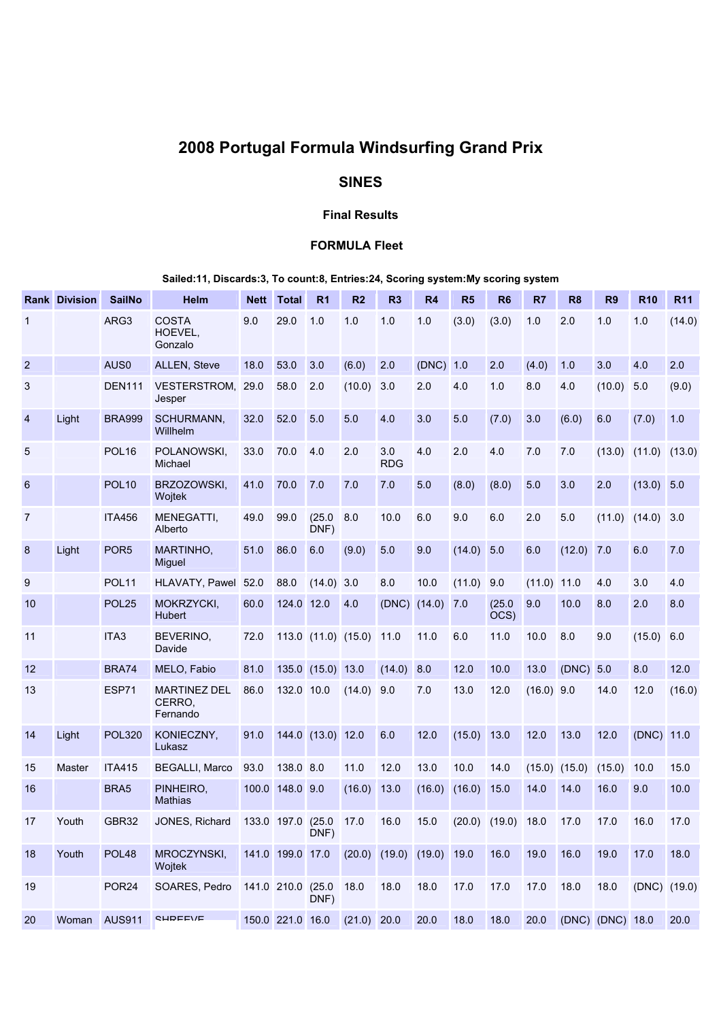# 2008 Portugal Formula Windsurfing Grand Prix

# SINES

#### Final Results

## FORMULA Fleet

## Sailed:11, Discards:3, To count:8, Entries:24, Scoring system:My scoring system

|                | <b>Rank Division</b> | <b>SailNo</b>     | <b>Helm</b>                               | <b>Nett</b> | <b>Total</b>      | R <sub>1</sub>      | R <sub>2</sub> | R <sub>3</sub>                  | R <sub>4</sub> | R <sub>5</sub> | R <sub>6</sub> | R7           | R <sub>8</sub> | R <sub>9</sub>   | <b>R10</b>   | <b>R11</b> |
|----------------|----------------------|-------------------|-------------------------------------------|-------------|-------------------|---------------------|----------------|---------------------------------|----------------|----------------|----------------|--------------|----------------|------------------|--------------|------------|
| 1              |                      | ARG3              | <b>COSTA</b><br>HOEVEL.<br>Gonzalo        | 9.0         | 29.0              | 1.0                 | 1.0            | 1.0                             | 1.0            | (3.0)          | (3.0)          | 1.0          | 2.0            | 1.0              | 1.0          | (14.0)     |
| $\overline{2}$ |                      | AUS <sub>0</sub>  | ALLEN, Steve                              | 18.0        | 53.0              | 3.0                 | (6.0)          | 2.0                             | (DNC)          | 1.0            | 2.0            | (4.0)        | 1.0            | 3.0              | 4.0          | 2.0        |
| 3              |                      | <b>DEN111</b>     | <b>VESTERSTROM,</b><br>Jesper             | 29.0        | 58.0              | 2.0                 | (10.0)         | 3.0                             | 2.0            | 4.0            | 1.0            | 8.0          | 4.0            | (10.0)           | 5.0          | (9.0)      |
| 4              | Light                | <b>BRA999</b>     | SCHURMANN,<br>Willhelm                    | 32.0        | 52.0              | 5.0                 | 5.0            | 4.0                             | 3.0            | 5.0            | (7.0)          | 3.0          | (6.0)          | 6.0              | (7.0)        | 1.0        |
| 5              |                      | POL <sub>16</sub> | POLANOWSKI,<br>Michael                    | 33.0        | 70.0              | 4.0                 | 2.0            | 3.0<br><b>RDG</b>               | 4.0            | 2.0            | 4.0            | 7.0          | 7.0            | (13.0)           | (11.0)       | (13.0)     |
| 6              |                      | <b>POL10</b>      | BRZOZOWSKI,<br>Wojtek                     | 41.0        | 70.0              | 7.0                 | 7.0            | 7.0                             | 5.0            | (8.0)          | (8.0)          | 5.0          | 3.0            | 2.0              | $(13.0)$ 5.0 |            |
| 7              |                      | <b>ITA456</b>     | MENEGATTI,<br>Alberto                     | 49.0        | 99.0              | (25.0)<br>DNF)      | 8.0            | 10.0                            | 6.0            | 9.0            | 6.0            | 2.0          | 5.0            | (11.0)           | (14.0)       | 3.0        |
| 8              | Light                | POR <sub>5</sub>  | <b>MARTINHO,</b><br>Miguel                | 51.0        | 86.0              | 6.0                 | (9.0)          | 5.0                             | 9.0            | (14.0)         | 5.0            | 6.0          | (12.0)         | 7.0              | 6.0          | 7.0        |
| 9              |                      | <b>POL11</b>      | HLAVATY, Pawel                            | 52.0        | 88.0              | (14.0)              | 3.0            | 8.0                             | 10.0           | (11.0)         | 9.0            | (11.0)       | 11.0           | 4.0              | 3.0          | 4.0        |
| 10             |                      | POL <sub>25</sub> | MOKRZYCKI,<br><b>Hubert</b>               | 60.0        | 124.0 12.0        |                     | 4.0            | $(DNC)$ $(14.0)$                |                | 7.0            | (25.0)<br>OCS) | 9.0          | 10.0           | 8.0              | 2.0          | 8.0        |
| 11             |                      | ITA3              | BEVERINO,<br>Davide                       | 72.0        |                   | 113.0 (11.0) (15.0) |                | 11.0                            | 11.0           | 6.0            | 11.0           | 10.0         | 8.0            | 9.0              | (15.0)       | 6.0        |
| 12             |                      | <b>BRA74</b>      | MELO, Fabio                               | 81.0        |                   | $135.0$ $(15.0)$    | 13.0           | (14.0)                          | 8.0            | 12.0           | 10.0           | 13.0         | (DNC) 5.0      |                  | 8.0          | 12.0       |
| 13             |                      | ESP71             | <b>MARTINEZ DEL</b><br>CERRO,<br>Fernando | 86.0        | 132.0 10.0        |                     | (14.0)         | 9.0                             | 7.0            | 13.0           | 12.0           | $(16.0)$ 9.0 |                | 14.0             | 12.0         | (16.0)     |
| 14             | Light                | <b>POL320</b>     | KONIECZNY,<br>Lukasz                      | 91.0        |                   | 144.0 (13.0) 12.0   |                | 6.0                             | 12.0           | (15.0)         | 13.0           | 12.0         | 13.0           | 12.0             | (DNC) 11.0   |            |
| 15             | Master               | <b>ITA415</b>     | <b>BEGALLI, Marco</b>                     | 93.0        | 138.0 8.0         |                     | 11.0           | 12.0                            | 13.0           | 10.0           | 14.0           | (15.0)       | (15.0)         | (15.0)           | 10.0         | 15.0       |
| 16             |                      | BRA5              | PINHEIRO,<br><b>Mathias</b>               |             | 100.0 148.0 9.0   |                     | (16.0)         | 13.0                            | (16.0)         | (16.0)         | 15.0           | 14.0         | 14.0           | 16.0             | 9.0          | 10.0       |
| 17             | Youth                | GBR32             | JONES, Richard                            |             | 133.0 197.0 (25.0 | DNF)                | 17.0           | 16.0                            | 15.0           | (20.0)         | (19.0)         | 18.0         | 17.0           | 17.0             | 16.0         | 17.0       |
| 18             | Youth                | POL <sub>48</sub> | MROCZYNSKI,<br>Wojtek                     |             | 141.0 199.0 17.0  |                     |                | $(20.0)$ $(19.0)$ $(19.0)$ 19.0 |                |                | 16.0           | 19.0         | 16.0           | 19.0             | 17.0         | 18.0       |
| 19             |                      | POR <sub>24</sub> | SOARES, Pedro                             |             | 141.0 210.0 (25.0 | DNF)                | 18.0           | 18.0                            | 18.0           | 17.0           | 17.0           | 17.0         | 18.0           | 18.0             | (DNC) (19.0) |            |
| 20             | Woman                | <b>AUS911</b>     | <b>SHDEEVE</b>                            |             | 150.0 221.0 16.0  |                     | $(21.0)$ 20.0  |                                 | 20.0           | 18.0           | 18.0           | 20.0         |                | (DNC) (DNC) 18.0 |              | 20.0       |